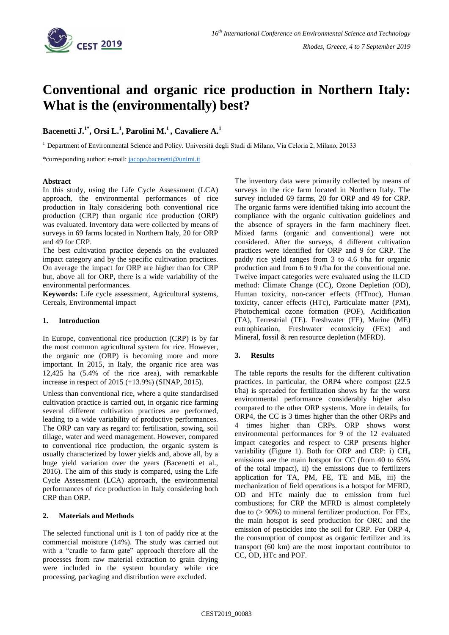

# **Conventional and organic rice production in Northern Italy: What is the (environmentally) best?**

## $\mathbf{B}$ acenetti J. $^{1*}, \mathbf{O}$ rsi L. $^{1}, \mathbf{P}$ arolini M. $^{1}, \mathbf{C}$ avaliere A. $^{1}$

<sup>1</sup> Department of Environmental Science and Policy. Università degli Studi di Milano, Via Celoria 2, Milano, 20133

\*corresponding author: e-mail: [jacopo.bacenetti@unimi.it](mailto:jacopo.bacenetti@unimi.it)

#### **Abstract**

In this study, using the Life Cycle Assessment (LCA) approach, the environmental performances of rice production in Italy considering both conventional rice production (CRP) than organic rice production (ORP) was evaluated. Inventory data were collected by means of surveys in 69 farms located in Northern Italy, 20 for ORP and 49 for CRP.

The best cultivation practice depends on the evaluated impact category and by the specific cultivation practices. On average the impact for ORP are higher than for CRP but, above all for ORP, there is a wide variability of the environmental performances.

**Keywords:** Life cycle assessment, Agricultural systems, Cereals, Environmental impact

#### **1. Introduction**

In Europe, conventional rice production (CRP) is by far the most common agricultural system for rice. However, the organic one (ORP) is becoming more and more important. In 2015, in Italy, the organic rice area was 12,425 ha (5.4% of the rice area), with remarkable increase in respect of 2015 (+13.9%) (SINAP, 2015).

Unless than conventional rice, where a quite standardised cultivation practice is carried out, in organic rice farming several different cultivation practices are performed, leading to a wide variability of productive performances. The ORP can vary as regard to: fertilisation, sowing, soil tillage, water and weed management. However, compared to conventional rice production, the organic system is usually characterized by lower yields and, above all, by a huge yield variation over the years (Bacenetti et al., 2016). The aim of this study is compared, using the Life Cycle Assessment (LCA) approach, the environmental performances of rice production in Italy considering both CRP than ORP.

### **2. Materials and Methods**

The selected functional unit is 1 ton of paddy rice at the commercial moisture (14%). The study was carried out with a "cradle to farm gate" approach therefore all the processes from raw material extraction to grain drying were included in the system boundary while rice processing, packaging and distribution were excluded.

The inventory data were primarily collected by means of surveys in the rice farm located in Northern Italy. The survey included 69 farms, 20 for ORP and 49 for CRP. The organic farms were identified taking into account the compliance with the organic cultivation guidelines and the absence of sprayers in the farm machinery fleet. Mixed farms (organic and conventional) were not considered. After the surveys, 4 different cultivation practices were identified for ORP and 9 for CRP. The paddy rice yield ranges from 3 to 4.6 t/ha for organic production and from 6 to 9 t/ha for the conventional one. Twelve impact categories were evaluated using the ILCD method: Climate Change (CC), Ozone Depletion (OD), Human toxicity, non-cancer effects (HTnoc), Human toxicity, cancer effects (HTc), Particulate matter (PM), Photochemical ozone formation (POF), Acidification (TA), Terrestrial (TE). Freshwater (FE), Marine (ME) eutrophication, Freshwater ecotoxicity (FEx) and Mineral, fossil & ren resource depletion (MFRD).

### **3. Results**

The table reports the results for the different cultivation practices. In particular, the ORP4 where compost (22.5 t/ha) is spreaded for fertilization shows by far the worst environmental performance considerably higher also compared to the other ORP systems. More in details, for ORP4, the CC is 3 times higher than the other ORPs and 4 times higher than CRPs. ORP shows worst environmental performances for 9 of the 12 evaluated impact categories and respect to CRP presents higher variability (Figure 1). Both for ORP and CRP: i) CH<sub>4</sub> emissions are the main hotspot for CC (from 40 to 65% of the total impact), ii) the emissions due to fertilizers application for TA, PM, FE, TE and ME, iii) the mechanization of field operations is a hotspot for MFRD, OD and HTc mainly due to emission from fuel combustions; for CRP the MFRD is almost completely due to  $(> 90\%)$  to mineral fertilizer production. For FEx, the main hotspot is seed production for ORC and the emission of pesticides into the soil for CRP. For ORP 4, the consumption of compost as organic fertilizer and its transport (60 km) are the most important contributor to CC, OD, HTc and POF.